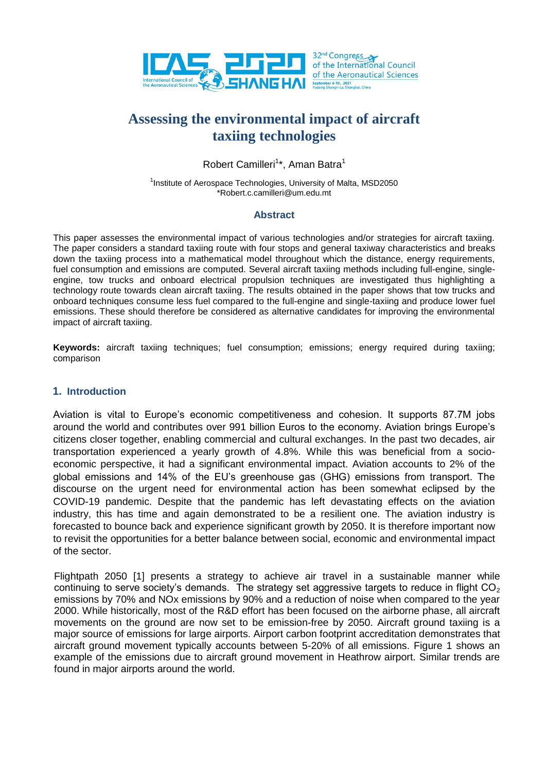

# **Assessing the environmental impact of aircraft taxiing technologies**

Robert Camilleri<sup>1\*</sup>, Aman Batra<sup>1</sup>

<sup>1</sup>Institute of Aerospace Technologies, University of Malta, MSD2050 \*Robert.c.camilleri@um.edu.mt

#### **Abstract**

This paper assesses the environmental impact of various technologies and/or strategies for aircraft taxiing. The paper considers a standard taxiing route with four stops and general taxiway characteristics and breaks down the taxiing process into a mathematical model throughout which the distance, energy requirements, fuel consumption and emissions are computed. Several aircraft taxiing methods including full-engine, singleengine, tow trucks and onboard electrical propulsion techniques are investigated thus highlighting a technology route towards clean aircraft taxiing. The results obtained in the paper shows that tow trucks and onboard techniques consume less fuel compared to the full-engine and single-taxiing and produce lower fuel emissions. These should therefore be considered as alternative candidates for improving the environmental impact of aircraft taxiing.

**Keywords:** aircraft taxiing techniques; fuel consumption; emissions; energy required during taxiing; comparison

### **1. Introduction**

Aviation is vital to Europe's economic competitiveness and cohesion. It supports 87.7M jobs around the world and contributes over 991 billion Euros to the economy. Aviation brings Europe's citizens closer together, enabling commercial and cultural exchanges. In the past two decades, air transportation experienced a yearly growth of 4.8%. While this was beneficial from a socioeconomic perspective, it had a significant environmental impact. Aviation accounts to 2% of the global emissions and 14% of the EU's greenhouse gas (GHG) emissions from transport. The discourse on the urgent need for environmental action has been somewhat eclipsed by the COVID-19 pandemic. Despite that the pandemic has left devastating effects on the aviation industry, this has time and again demonstrated to be a resilient one. The aviation industry is forecasted to bounce back and experience significant growth by 2050. It is therefore important now to revisit the opportunities for a better balance between social, economic and environmental impact of the sector.

Flightpath 2050 [\[1\]](#page-10-0) presents a strategy to achieve air travel in a sustainable manner while continuing to serve society's demands. The strategy set aggressive targets to reduce in flight  $CO<sub>2</sub>$ emissions by 70% and NOx emissions by 90% and a reduction of noise when compared to the year 2000. While historically, most of the R&D effort has been focused on the airborne phase, all aircraft movements on the ground are now set to be emission-free by 2050. Aircraft ground taxiing is a major source of emissions for large airports. Airport carbon footprint accreditation demonstrates that aircraft ground movement typically accounts between 5-20% of all emissions. Figure 1 shows an example of the emissions due to aircraft ground movement in Heathrow airport. Similar trends are found in major airports around the world.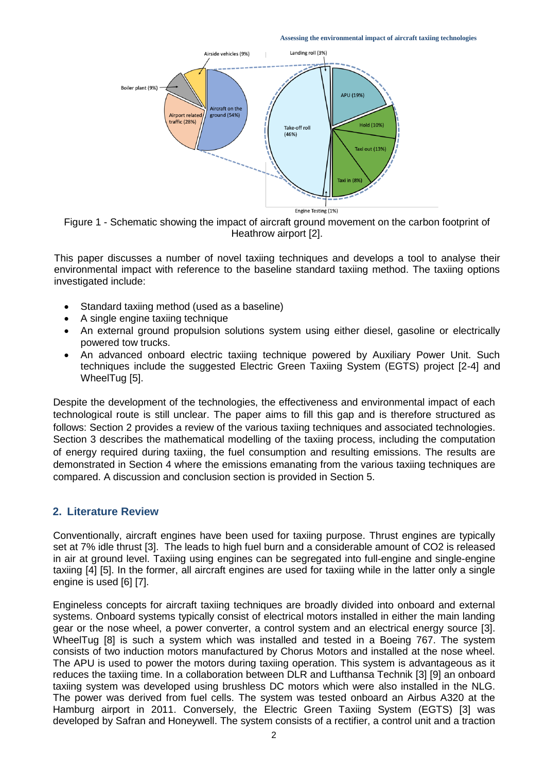**Assessing the environmental impact of aircraft taxiing technologies** 



Figure 1 - Schematic showing the impact of aircraft ground movement on the carbon footprint of Heathrow airport [2].

This paper discusses a number of novel taxiing techniques and develops a tool to analyse their environmental impact with reference to the baseline standard taxiing method. The taxiing options investigated include:

- Standard taxiing method (used as a baseline)
- A single engine taxiing technique
- An external ground propulsion solutions system using either diesel, gasoline or electrically powered tow trucks.
- An advanced onboard electric taxiing technique powered by Auxiliary Power Unit. Such techniques include the suggested Electric Green Taxiing System (EGTS) project [2-4] and WheelTug [5].

Despite the development of the technologies, the effectiveness and environmental impact of each technological route is still unclear. The paper aims to fill this gap and is therefore structured as follows: Section 2 provides a review of the various taxiing techniques and associated technologies. Section 3 describes the mathematical modelling of the taxiing process, including the computation of energy required during taxiing, the fuel consumption and resulting emissions. The results are demonstrated in Section 4 where the emissions emanating from the various taxiing techniques are compared. A discussion and conclusion section is provided in Section 5.

## **2. Literature Review**

Conventionally, aircraft engines have been used for taxiing purpose. Thrust engines are typically set at 7% idle thrust [3]. The leads to high fuel burn and a considerable amount of CO2 is released in air at ground level. Taxiing using engines can be segregated into full-engine and single-engine taxiing [\[4\]](#page-10-1) [\[5\]](#page-10-2). In the former, all aircraft engines are used for taxiing while in the latter only a single engine is used [6] [7].

Engineless concepts for aircraft taxiing techniques are broadly divided into onboard and external systems. Onboard systems typically consist of electrical motors installed in either the main landing gear or the nose wheel, a power converter, a control system and an electrical energy source [3]. WheelTug [\[8\]](#page-10-3) is such a system which was installed and tested in a Boeing 767. The system consists of two induction motors manufactured by Chorus Motors and installed at the nose wheel. The APU is used to power the motors during taxiing operation. This system is advantageous as it reduces the taxiing time. In a collaboration between DLR and Lufthansa Technik [\[3\]](#page-10-2) [\[9\]](#page-10-4) an onboard taxiing system was developed using brushless DC motors which were also installed in the NLG. The power was derived from fuel cells. The system was tested onboard an Airbus A320 at the Hamburg airport in 2011. Conversely, the Electric Green Taxiing System (EGTS) [3] was developed by Safran and Honeywell. The system consists of a rectifier, a control unit and a traction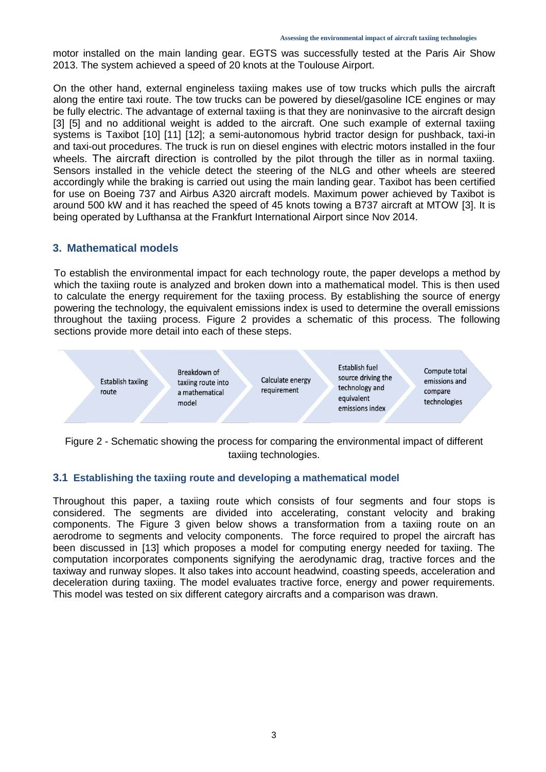motor installed on the main landing gear. EGTS was successfully tested at the Paris Air Show 2013. The system achieved a speed of 20 knots at the Toulouse Airport.

On the other hand, external engineless taxiing makes use of tow trucks which pulls the aircraft along the entire taxi route. The tow trucks can be powered by diesel/gasoline ICE engines or may be fully electric. The advantage of external taxiing is that they are noninvasive to the aircraft design [3] [\[5\]](#page-10-2) and no additional weight is added to the aircraft. One such example of external taxiing systems is Taxibot [\[10\]](#page-10-5) [\[11\]](#page-10-6) [\[12\]](#page-10-7); a semi-autonomous hybrid tractor design for pushback, taxi-in and taxi-out procedures. The truck is run on diesel engines with electric motors installed in the four wheels. The aircraft direction is controlled by the pilot through the tiller as in normal taxiing. Sensors installed in the vehicle detect the steering of the NLG and other wheels are steered accordingly while the braking is carried out using the main landing gear. Taxibot has been certified for use on Boeing 737 and Airbus A320 aircraft models. Maximum power achieved by Taxibot is around 500 kW and it has reached the speed of 45 knots towing a B737 aircraft at MTOW [3]. It is being operated by Lufthansa at the Frankfurt International Airport since Nov 2014.

#### **3. Mathematical models**

To establish the environmental impact for each technology route, the paper develops a method by which the taxiing route is analyzed and broken down into a mathematical model. This is then used to calculate the energy requirement for the taxiing process. By establishing the source of energy powering the technology, the equivalent emissions index is used to determine the overall emissions throughout the taxiing process. Figure 2 provides a schematic of this process. The following sections provide more detail into each of these steps.



Figure 2 - Schematic showing the process for comparing the environmental impact of different taxiing technologies.

## **3.1 Establishing the taxiing route and developing a mathematical model**

Throughout this paper, a taxiing route which consists of four segments and four stops is considered. The segments are divided into accelerating, constant velocity and braking components. The Figure 3 given below shows a transformation from a taxiing route on an aerodrome to segments and velocity components. The force required to propel the aircraft has been discussed in [\[13\]](#page-10-8) which proposes a model for computing energy needed for taxiing. The computation incorporates components signifying the aerodynamic drag, tractive forces and the taxiway and runway slopes. It also takes into account headwind, coasting speeds, acceleration and deceleration during taxiing. The model evaluates tractive force, energy and power requirements. This model was tested on six different category aircrafts and a comparison was drawn.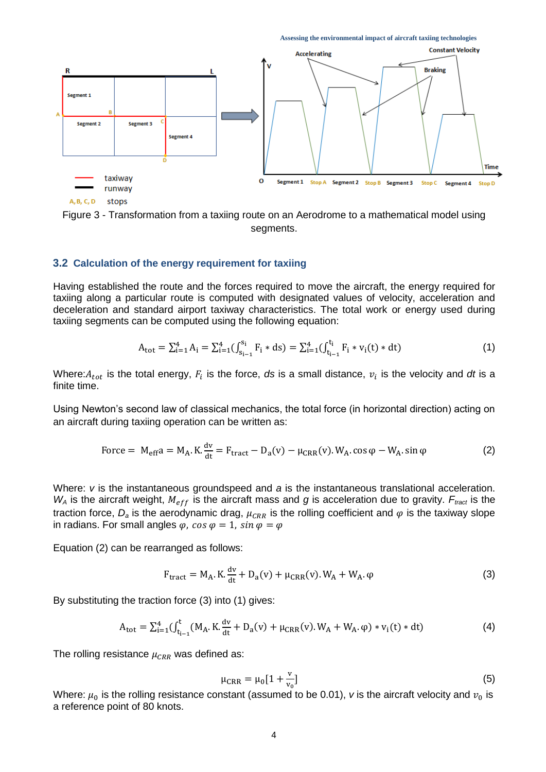



Figure 3 - Transformation from a taxiing route on an Aerodrome to a mathematical model using segments.

#### **3.2 Calculation of the energy requirement for taxiing**

Having established the route and the forces required to move the aircraft, the energy required for taxiing along a particular route is computed with designated values of velocity, acceleration and deceleration and standard airport taxiway characteristics. The total work or energy used during taxiing segments can be computed using the following equation:

$$
A_{\text{tot}} = \sum_{i=1}^{4} A_i = \sum_{i=1}^{4} \left( \int_{s_{i-1}}^{s_i} F_i * ds \right) = \sum_{i=1}^{4} \left( \int_{t_{i-1}}^{t_i} F_i * v_i(t) * dt \right)
$$
(1)

Where: $A_{tot}$  is the total energy,  $F_i$  is the force, *ds* is a small distance,  $v_i$  is the velocity and *dt* is a finite time.

Using Newton's second law of classical mechanics, the total force (in horizontal direction) acting on an aircraft during taxiing operation can be written as:

Force = 
$$
M_{\text{eff}}a = M_A \cdot K \cdot \frac{dv}{dt} = F_{\text{tract}} - D_a(v) - \mu_{\text{CRR}}(v) \cdot W_A \cdot \cos \varphi - W_A \cdot \sin \varphi
$$
 (2)

Where: *v* is the instantaneous groundspeed and *a* is the instantaneous translational acceleration.  $W_A$  is the aircraft weight,  $M_{eff}$  is the aircraft mass and *g* is acceleration due to gravity.  $F_{\text{tract}}$  is the traction force,  $D_a$  is the aerodynamic drag,  $\mu_{CRR}$  is the rolling coefficient and  $\varphi$  is the taxiway slope in radians. For small angles  $\varphi$ ,  $\cos \varphi = 1$ ,  $\sin \varphi = \varphi$ 

Equation (2) can be rearranged as follows:

$$
F_{\text{tract}} = M_A. \text{ K.} \frac{\text{dv}}{\text{dt}} + D_a(v) + \mu_{\text{CRR}}(v). W_A + W_A. \varphi \tag{3}
$$

By substituting the traction force (3) into (1) gives:

$$
A_{\text{tot}} = \sum_{i=1}^{4} (\int_{t_{i-1}}^{t} (M_A. K. \frac{dv}{dt} + D_a(v) + \mu_{\text{CRR}}(v). W_A + W_A. \varphi) * v_i(t) * dt)
$$
(4)

The rolling resistance  $\mu_{CRR}$  was defined as:

$$
\mu_{\rm CRR} = \mu_0 [1 + \frac{v}{v_0}] \tag{5}
$$

Where:  $\mu_0$  is the rolling resistance constant (assumed to be 0.01), *v* is the aircraft velocity and  $v_0$  is a reference point of 80 knots.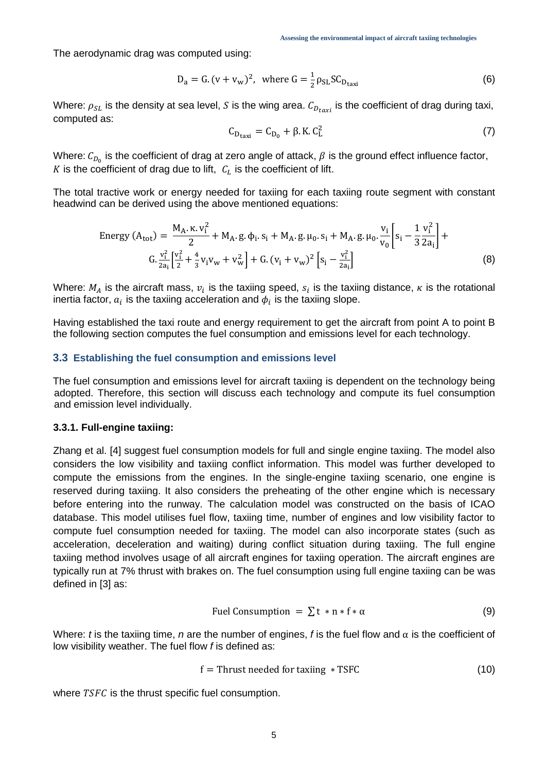The aerodynamic drag was computed using:

$$
D_a = G.(v + v_w)^2
$$
, where  $G = \frac{1}{2} \rho_{SL} SC_{D_{\text{taxi}}}$  (6)

Where:  $\rho_{SL}$  is the density at sea level, S is the wing area.  $C_{D_{tary}}$  is the coefficient of drag during taxi, computed as:

$$
C_{D_{\text{taxi}}} = C_{D_0} + \beta. \text{ K. } C_L^2 \tag{7}
$$

Where:  $\mathcal{C}_{D_{0}}$  is the coefficient of drag at zero angle of attack,  $\beta$  is the ground effect influence factor,  $K$  is the coefficient of drag due to lift,  $\, \mathcal{C}_{L} \,$  is the coefficient of lift.

The total tractive work or energy needed for taxiing for each taxiing route segment with constant headwind can be derived using the above mentioned equations:

Energy 
$$
(A_{tot}) = \frac{M_A \cdot \kappa v_i^2}{2} + M_A \cdot g \cdot \phi_i \cdot s_i + M_A \cdot g \cdot \mu_0 \cdot s_i + M_A \cdot g \cdot \mu_0 \cdot \frac{v_i}{v_0} \left[ s_i - \frac{1}{3} \frac{v_i^2}{2a_i} \right] +
$$
  
\n
$$
G \cdot \frac{v_i^2}{2a_i} \left[ \frac{v_i^2}{2} + \frac{4}{3} v_i v_w + v_w^2 \right] + G \cdot (v_i + v_w)^2 \left[ s_i - \frac{v_i^2}{2a_i} \right]
$$
\n(8)

Where:  $M_A$  is the aircraft mass,  $v_i$  is the taxiing speed,  $s_i$  is the taxiing distance,  $\kappa$  is the rotational inertia factor,  $a_i$  is the taxiing acceleration and  $\phi_i$  is the taxiing slope.

Having established the taxi route and energy requirement to get the aircraft from point A to point B the following section computes the fuel consumption and emissions level for each technology.

#### **3.3 Establishing the fuel consumption and emissions level**

The fuel consumption and emissions level for aircraft taxiing is dependent on the technology being adopted. Therefore, this section will discuss each technology and compute its fuel consumption and emission level individually.

#### **3.3.1. Full-engine taxiing:**

Zhang et al. [\[4\]](#page-10-1) suggest fuel consumption models for full and single engine taxiing. The model also considers the low visibility and taxiing conflict information. This model was further developed to compute the emissions from the engines. In the single-engine taxiing scenario, one engine is reserved during taxiing. It also considers the preheating of the other engine which is necessary before entering into the runway. The calculation model was constructed on the basis of ICAO database. This model utilises fuel flow, taxiing time, number of engines and low visibility factor to compute fuel consumption needed for taxiing. The model can also incorporate states (such as acceleration, deceleration and waiting) during conflict situation during taxiing. The full engine taxiing method involves usage of all aircraft engines for taxiing operation. The aircraft engines are typically run at 7% thrust with brakes on. The fuel consumption using full engine taxiing can be was defined in [3] as:

$$
Full Consumption = \sum t * n * f * \alpha
$$
 (9)

Where: *t* is the taxiing time, *n* are the number of engines, *f* is the fuel flow and  $\alpha$  is the coefficient of low visibility weather. The fuel flow *f* is defined as:

$$
f = \text{Thrust needed for taking } * \text{TSFC} \tag{10}
$$

where  $TSFC$  is the thrust specific fuel consumption.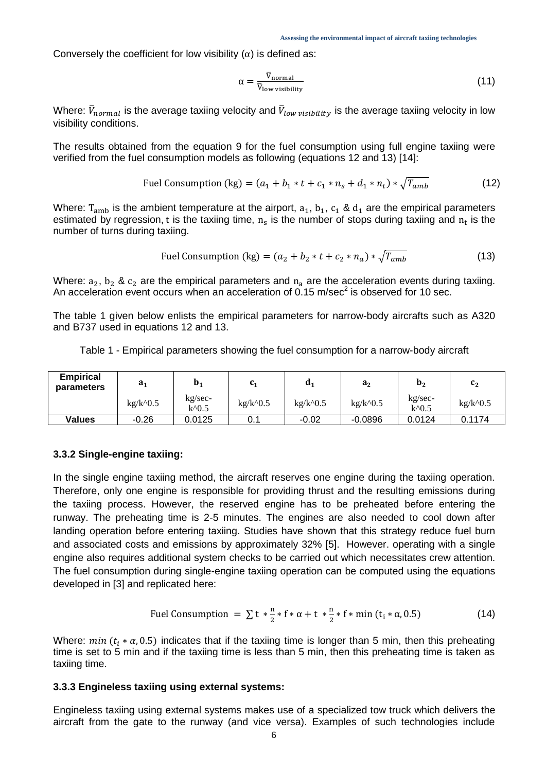Conversely the coefficient for low visibility  $(\alpha)$  is defined as:

$$
\alpha = \frac{\overline{v}_{\text{normal}}}{\overline{v}_{\text{low visibility}}}
$$
 (11)

Where:  $V_{normal}$  is the average taxiing velocity and  $V_{low\; visibility}$  is the average taxiing velocity in low visibility conditions.

The results obtained from the equation 9 for the fuel consumption using full engine taxiing were verified from the fuel consumption models as following (equations 12 and 13) [\[14\]](#page-10-9):

Full Consumption (kg) = 
$$
(a_1 + b_1 * t + c_1 * n_s + d_1 * n_t) * \sqrt{T_{amb}}
$$

\n(12)

Where:  $T_{amb}$  is the ambient temperature at the airport,  $a_1$ ,  $b_1$ ,  $c_1$  &  $d_1$  are the empirical parameters estimated by regression, t is the taxiing time,  $n_s$  is the number of stops during taxiing and  $n_t$  is the number of turns during taxiing.

$$
Full Construction (kg) = (a_2 + b_2 * t + c_2 * n_a) * \sqrt{T_{amb}}
$$
\n(13)

Where:  $a_2$ ,  $b_2$  &  $c_2$  are the empirical parameters and  $n_a$  are the acceleration events during taxiing. An acceleration event occurs when an acceleration of 0.15 m/sec<sup>2</sup> is observed for 10 sec.

The table 1 given below enlists the empirical parameters for narrow-body aircrafts such as A320 and B737 used in equations 12 and 13.

|  |  |  |  |  | Table 1 - Empirical parameters showing the fuel consumption for a narrow-body aircraft |
|--|--|--|--|--|----------------------------------------------------------------------------------------|
|--|--|--|--|--|----------------------------------------------------------------------------------------|

| <b>Empirical</b><br>parameters | a <sub>1</sub> | $\mathbf{b}_1$   | C1         | $\mathbf{d}$                             | $a_2$                                       | $\mathbf{b}_2$     | c <sub>2</sub>                           |
|--------------------------------|----------------|------------------|------------|------------------------------------------|---------------------------------------------|--------------------|------------------------------------------|
|                                | $kg/k^0.5$     | kg/sec-<br>k^0.5 | $kg/k^0.5$ | $kg/k$ <sup><math>\wedge</math>0.5</sup> | $kg/k$ <sup><math>\wedge</math></sup> $0.5$ | kg/sec-<br>$k^0.5$ | $kg/k$ <sup><math>\wedge</math>0.5</sup> |
| <b>Values</b>                  | $-0.26$        | 0.0125           | 0.1        | $-0.02$                                  | $-0.0896$                                   | 0.0124             | 0.1174                                   |

#### **3.3.2 Single-engine taxiing:**

In the single engine taxiing method, the aircraft reserves one engine during the taxiing operation. Therefore, only one engine is responsible for providing thrust and the resulting emissions during the taxiing process. However, the reserved engine has to be preheated before entering the runway. The preheating time is 2-5 minutes. The engines are also needed to cool down after landing operation before entering taxiing. Studies have shown that this strategy reduce fuel burn and associated costs and emissions by approximately 32% [\[5\]](#page-10-2). However. operating with a single engine also requires additional system checks to be carried out which necessitates crew attention. The fuel consumption during single-engine taxiing operation can be computed using the equations developed in [3] and replicated here:

$$
\text{Full Consumption} = \sum t \times \frac{n}{2} \times f \times \alpha + t \times \frac{n}{2} \times f \times \min(t_i \times \alpha, 0.5) \tag{14}
$$

Where:  $min (t_i * \alpha, 0.5)$  indicates that if the taxiing time is longer than 5 min, then this preheating time is set to 5 min and if the taxiing time is less than 5 min, then this preheating time is taken as taxiing time.

#### **3.3.3 Engineless taxiing using external systems:**

Engineless taxiing using external systems makes use of a specialized tow truck which delivers the aircraft from the gate to the runway (and vice versa). Examples of such technologies include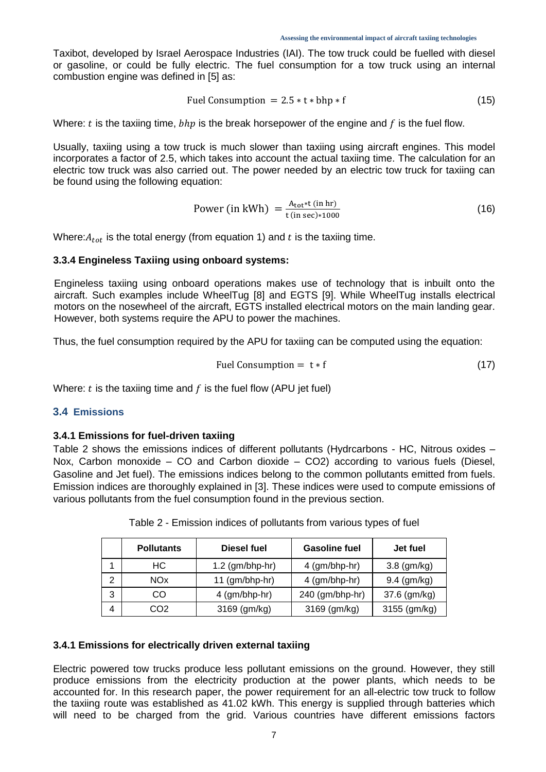Taxibot, developed by Israel Aerospace Industries (IAI). The tow truck could be fuelled with diesel or gasoline, or could be fully electric. The fuel consumption for a tow truck using an internal combustion engine was defined in [5] as:

$$
Full Consumption = 2.5 * t * bhp * f \tag{15}
$$

Where: t is the taxiing time,  $bhp$  is the break horsepower of the engine and f is the fuel flow.

Usually, taxiing using a tow truck is much slower than taxiing using aircraft engines. This model incorporates a factor of 2.5, which takes into account the actual taxiing time. The calculation for an electric tow truck was also carried out. The power needed by an electric tow truck for taxiing can be found using the following equation:

Power (in kWh) = 
$$
\frac{A_{\text{tot}}*(\text{in hr})}{t(\text{in sec})*1000}
$$
 (16)

Where:  $A_{tot}$  is the total energy (from equation 1) and t is the taxiing time.

#### **3.3.4 Engineless Taxiing using onboard systems:**

Engineless taxiing using onboard operations makes use of technology that is inbuilt onto the aircraft. Such examples include WheelTug [\[8\]](#page-10-3) and EGTS [\[9\]](#page-10-4). While WheelTug installs electrical motors on the nosewheel of the aircraft, EGTS installed electrical motors on the main landing gear. However, both systems require the APU to power the machines.

Thus, the fuel consumption required by the APU for taxiing can be computed using the equation:

$$
Full Consumption = t * f \tag{17}
$$

Where:  $t$  is the taxiing time and  $f$  is the fuel flow (APU jet fuel)

#### **3.4 Emissions**

#### **3.4.1 Emissions for fuel-driven taxiing**

Table 2 shows the emissions indices of different pollutants (Hydrcarbons - HC, Nitrous oxides – Nox, Carbon monoxide – CO and Carbon dioxide – CO2) according to various fuels (Diesel, Gasoline and Jet fuel). The emissions indices belong to the common pollutants emitted from fuels. Emission indices are thoroughly explained in [3]. These indices were used to compute emissions of various pollutants from the fuel consumption found in the previous section.

|   | <b>Pollutants</b> | Diesel fuel       | <b>Gasoline fuel</b> | Jet fuel         |
|---|-------------------|-------------------|----------------------|------------------|
|   | HС                | $1.2$ (gm/bhp-hr) | 4 (gm/bhp-hr)        | $3.8$ (gm/kg)    |
| 2 | NOx               | 11 $(gm/bhp-hr)$  | $4$ (gm/bhp-hr)      | $9.4 \, (gm/kg)$ |
| 3 | CO                | $4$ (gm/bhp-hr)   | 240 (gm/bhp-hr)      | 37.6 (gm/kg)     |
| 4 | CO2               | 3169 (gm/kg)      | 3169 (gm/kg)         | 3155 (gm/kg)     |

Table 2 - Emission indices of pollutants from various types of fuel

#### **3.4.1 Emissions for electrically driven external taxiing**

Electric powered tow trucks produce less pollutant emissions on the ground. However, they still produce emissions from the electricity production at the power plants, which needs to be accounted for. In this research paper, the power requirement for an all-electric tow truck to follow the taxiing route was established as 41.02 kWh. This energy is supplied through batteries which will need to be charged from the grid. Various countries have different emissions factors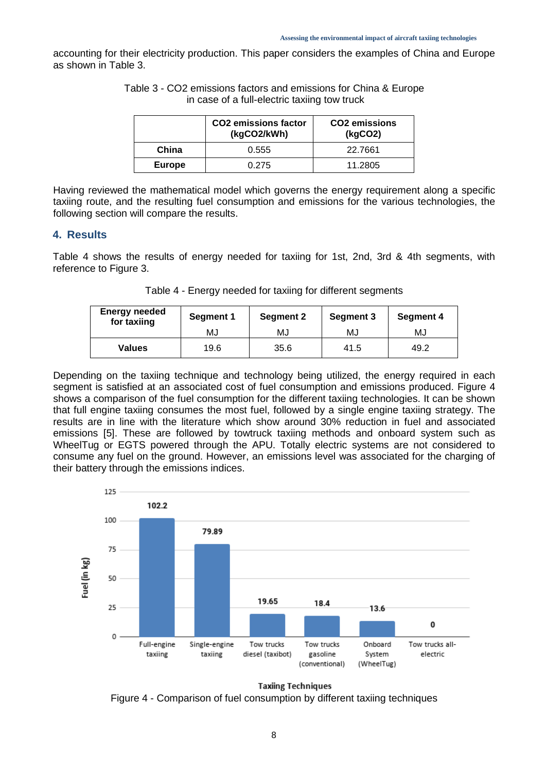accounting for their electricity production. This paper considers the examples of China and Europe as shown in Table 3.

|               | <b>CO2</b> emissions factor<br>(kgCO2/kWh) | CO <sub>2</sub> emissions<br>(kgCO2) |  |
|---------------|--------------------------------------------|--------------------------------------|--|
| China         | 0.555                                      | 22.7661                              |  |
| <b>Europe</b> | 0.275                                      | 11.2805                              |  |

Table 3 - CO2 emissions factors and emissions for China & Europe in case of a full-electric taxiing tow truck

Having reviewed the mathematical model which governs the energy requirement along a specific taxiing route, and the resulting fuel consumption and emissions for the various technologies, the following section will compare the results.

#### **4. Results**

Table 4 shows the results of energy needed for taxiing for 1st, 2nd, 3rd & 4th segments, with reference to Figure 3.

| Table 4 - Energy needed for taxiing for different segments |  |  |
|------------------------------------------------------------|--|--|
|                                                            |  |  |

| <b>Energy needed</b><br>for taxiing | Segment 1 | <b>Segment 2</b> | Segment 3 | <b>Segment 4</b> |  |
|-------------------------------------|-----------|------------------|-----------|------------------|--|
|                                     | MJ        | MJ               | MJ        | MJ               |  |
| <b>Values</b>                       | 19.6      | 35.6             | 41.5      | 49.2             |  |

Depending on the taxiing technique and technology being utilized, the energy required in each segment is satisfied at an associated cost of fuel consumption and emissions produced. Figure 4 shows a comparison of the fuel consumption for the different taxiing technologies. It can be shown that full engine taxiing consumes the most fuel, followed by a single engine taxiing strategy. The results are in line with the literature which show around 30% reduction in fuel and associated emissions [\[5\]](#page-10-2). These are followed by towtruck taxiing methods and onboard system such as WheelTug or EGTS powered through the APU. Totally electric systems are not considered to consume any fuel on the ground. However, an emissions level was associated for the charging of their battery through the emissions indices.



**Taxiing Techniques** 

Figure 4 - Comparison of fuel consumption by different taxiing techniques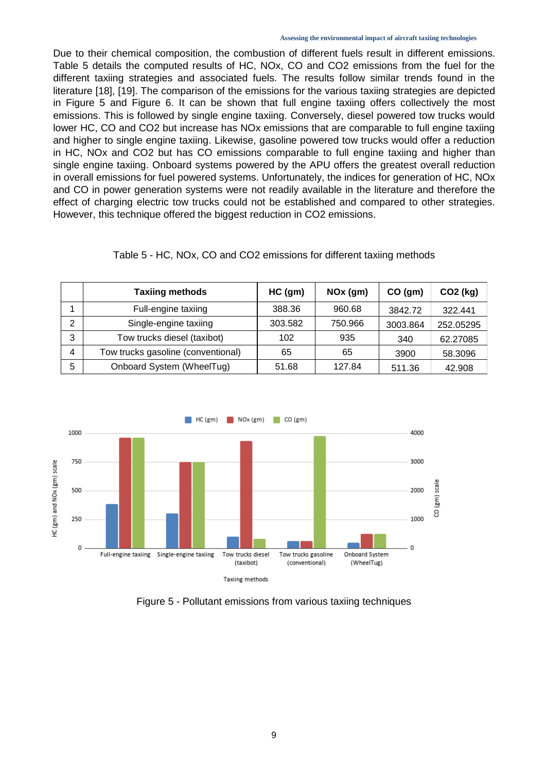Due to their chemical composition, the combustion of different fuels result in different emissions. Table 5 details the computed results of HC, NOx, CO and CO2 emissions from the fuel for the different taxiing strategies and associated fuels. The results follow similar trends found in the literature [18], [19]. The comparison of the emissions for the various taxiing strategies are depicted in Figure 5 and Figure 6. It can be shown that full engine taxiing offers collectively the most emissions. This is followed by single engine taxiing. Conversely, diesel powered tow trucks would lower HC, CO and CO2 but increase has NOx emissions that are comparable to full engine taxiing and higher to single engine taxiing. Likewise, gasoline powered tow trucks would offer a reduction in HC, NOx and CO2 but has CO emissions comparable to full engine taxiing and higher than single engine taxiing. Onboard systems powered by the APU offers the greatest overall reduction in overall emissions for fuel powered systems. Unfortunately, the indices for generation of HC, NOx and CO in power generation systems were not readily available in the literature and therefore the effect of charging electric tow trucks could not be established and compared to other strategies. However, this technique offered the biggest reduction in CO2 emissions.

|  |  |  | Table 5 - HC, NOx, CO and CO2 emissions for different taxiing methods |  |  |  |
|--|--|--|-----------------------------------------------------------------------|--|--|--|
|--|--|--|-----------------------------------------------------------------------|--|--|--|

|   | <b>Taxiing methods</b>             | $HC$ (gm) | $NOx$ (gm) | CO (gm)  | CO <sub>2</sub> (kg) |
|---|------------------------------------|-----------|------------|----------|----------------------|
|   | Full-engine taxiing                | 388.36    | 960.68     | 3842.72  | 322.441              |
| っ | Single-engine taxiing              | 303.582   | 750.966    | 3003.864 | 252.05295            |
| 3 | Tow trucks diesel (taxibot)        | 102       | 935        | 340      | 62.27085             |
| 4 | Tow trucks gasoline (conventional) | 65        | 65         | 3900     | 58.3096              |
| 5 | Onboard System (WheelTug)          | 51.68     | 127.84     | 511.36   | 42.908               |



Figure 5 - Pollutant emissions from various taxiing techniques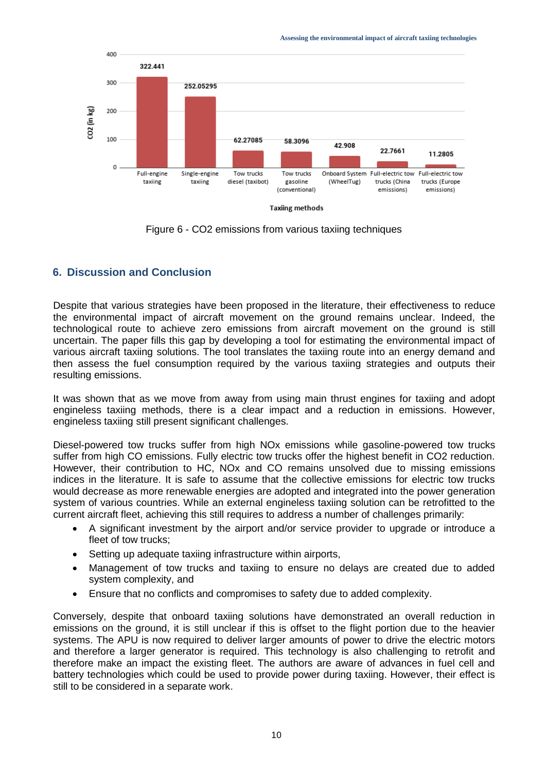

Figure 6 - CO2 emissions from various taxiing techniques

## **6. Discussion and Conclusion**

Despite that various strategies have been proposed in the literature, their effectiveness to reduce the environmental impact of aircraft movement on the ground remains unclear. Indeed, the technological route to achieve zero emissions from aircraft movement on the ground is still uncertain. The paper fills this gap by developing a tool for estimating the environmental impact of various aircraft taxiing solutions. The tool translates the taxiing route into an energy demand and then assess the fuel consumption required by the various taxiing strategies and outputs their resulting emissions.

It was shown that as we move from away from using main thrust engines for taxiing and adopt engineless taxiing methods, there is a clear impact and a reduction in emissions. However, engineless taxiing still present significant challenges.

Diesel-powered tow trucks suffer from high NOx emissions while gasoline-powered tow trucks suffer from high CO emissions. Fully electric tow trucks offer the highest benefit in CO2 reduction. However, their contribution to HC, NOx and CO remains unsolved due to missing emissions indices in the literature. It is safe to assume that the collective emissions for electric tow trucks would decrease as more renewable energies are adopted and integrated into the power generation system of various countries. While an external engineless taxiing solution can be retrofitted to the current aircraft fleet, achieving this still requires to address a number of challenges primarily:

- A significant investment by the airport and/or service provider to upgrade or introduce a fleet of tow trucks;
- Setting up adequate taxiing infrastructure within airports,
- Management of tow trucks and taxiing to ensure no delays are created due to added system complexity, and
- Ensure that no conflicts and compromises to safety due to added complexity.

Conversely, despite that onboard taxiing solutions have demonstrated an overall reduction in emissions on the ground, it is still unclear if this is offset to the flight portion due to the heavier systems. The APU is now required to deliver larger amounts of power to drive the electric motors and therefore a larger generator is required. This technology is also challenging to retrofit and therefore make an impact the existing fleet. The authors are aware of advances in fuel cell and battery technologies which could be used to provide power during taxiing. However, their effect is still to be considered in a separate work.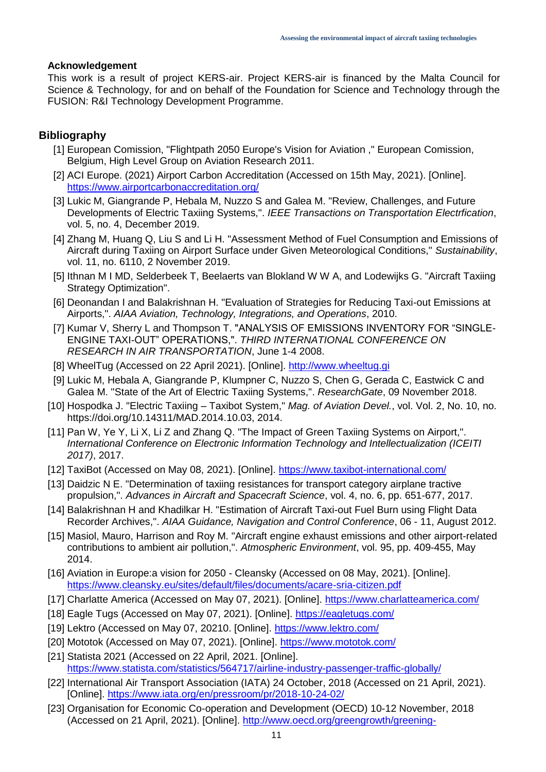#### **Acknowledgement**

This work is a result of project KERS-air. Project KERS-air is financed by the Malta Council for Science & Technology, for and on behalf of the Foundation for Science and Technology through the FUSION: R&I Technology Development Programme.

## **Bibliography**

- <span id="page-10-0"></span>[1] European Comission, "Flightpath 2050 Europe's Vision for Aviation ," European Comission, Belgium, High Level Group on Aviation Research 2011.
- [2] ACI Europe. (2021) Airport Carbon Accreditation (Accessed on 15th May, 2021). [Online]. <https://www.airportcarbonaccreditation.org/>
- [3] Lukic M, Giangrande P, Hebala M, Nuzzo S and Galea M. "Review, Challenges, and Future Developments of Electric Taxiing Systems,". *IEEE Transactions on Transportation Electrfication*, vol. 5, no. 4, December 2019.
- <span id="page-10-1"></span>[4] Zhang M, Huang Q, Liu S and Li H. "Assessment Method of Fuel Consumption and Emissions of Aircraft during Taxiing on Airport Surface under Given Meteorological Conditions," *Sustainability*, vol. 11, no. 6110, 2 November 2019.
- <span id="page-10-2"></span>[5] Ithnan M I MD, Selderbeek T, Beelaerts van Blokland W W A, and Lodewijks G. "Aircraft Taxiing Strategy Optimization".
- [6] Deonandan I and Balakrishnan H. "Evaluation of Strategies for Reducing Taxi-out Emissions at Airports,". *AIAA Aviation, Technology, Integrations, and Operations*, 2010.
- [7] Kumar V, Sherry L and Thompson T. "ANALYSIS OF EMISSIONS INVENTORY FOR "SINGLE-ENGINE TAXI-OUT" OPERATIONS,". *THIRD INTERNATIONAL CONFERENCE ON RESEARCH IN AIR TRANSPORTATION*, June 1-4 2008.
- <span id="page-10-3"></span>[8] WheelTug (Accessed on 22 April 2021). [Online]. [http://www.wheeltug.gi](http://www.wheeltug.gi/)
- <span id="page-10-4"></span>[9] Lukic M, Hebala A, Giangrande P, Klumpner C, Nuzzo S, Chen G, Gerada C, Eastwick C and Galea M. "State of the Art of Electric Taxiing Systems,". *ResearchGate*, 09 November 2018.
- <span id="page-10-5"></span>[10] Hospodka J. "Electric Taxiing – Taxibot System," *Mag. of Aviation Devel.*, vol. Vol. 2, No. 10, no. https://doi.org/10.14311/MAD.2014.10.03, 2014.
- <span id="page-10-6"></span>[11] Pan W, Ye Y, Li X, Li Z and Zhang Q. "The Impact of Green Taxiing Systems on Airport,". *International Conference on Electronic Information Technology and Intellectualization (ICEITI 2017)*, 2017.
- <span id="page-10-7"></span>[12] TaxiBot (Accessed on May 08, 2021). [Online].<https://www.taxibot-international.com/>
- <span id="page-10-8"></span>[13] Daidzic N E. "Determination of taxiing resistances for transport category airplane tractive propulsion,". *Advances in Aircraft and Spacecraft Science*, vol. 4, no. 6, pp. 651-677, 2017.
- <span id="page-10-9"></span>[14] Balakrishnan H and Khadilkar H. "Estimation of Aircraft Taxi-out Fuel Burn using Flight Data Recorder Archives,". *AIAA Guidance, Navigation and Control Conference*, 06 - 11, August 2012.
- [15] Masiol, Mauro, Harrison and Roy M. "Aircraft engine exhaust emissions and other airport-related contributions to ambient air pollution,". *Atmospheric Environment*, vol. 95, pp. 409-455, May 2014.
- [16] Aviation in Europe:a vision for 2050 Cleansky (Accessed on 08 May, 2021). [Online]. <https://www.cleansky.eu/sites/default/files/documents/acare-sria-citizen.pdf>
- [17] Charlatte America (Accessed on May 07, 2021). [Online].<https://www.charlatteamerica.com/>
- [18] Eagle Tugs (Accessed on May 07, 2021). [Online].<https://eagletugs.com/>
- [19] Lektro (Accessed on May 07, 20210. [Online].<https://www.lektro.com/>
- [20] Mototok (Accessed on May 07, 2021). [Online].<https://www.mototok.com/>
- [21] Statista 2021 (Accessed on 22 April, 2021. [Online]. <https://www.statista.com/statistics/564717/airline-industry-passenger-traffic-globally/>
- [22] International Air Transport Association (IATA) 24 October, 2018 (Accessed on 21 April, 2021). [Online].<https://www.iata.org/en/pressroom/pr/2018-10-24-02/>
- [23] Organisation for Economic Co-operation and Development (OECD) 10-12 November, 2018 (Accessed on 21 April, 2021). [Online]. [http://www.oecd.org/greengrowth/greening-](http://www.oecd.org/greengrowth/greening-transport/41508474.pdf)